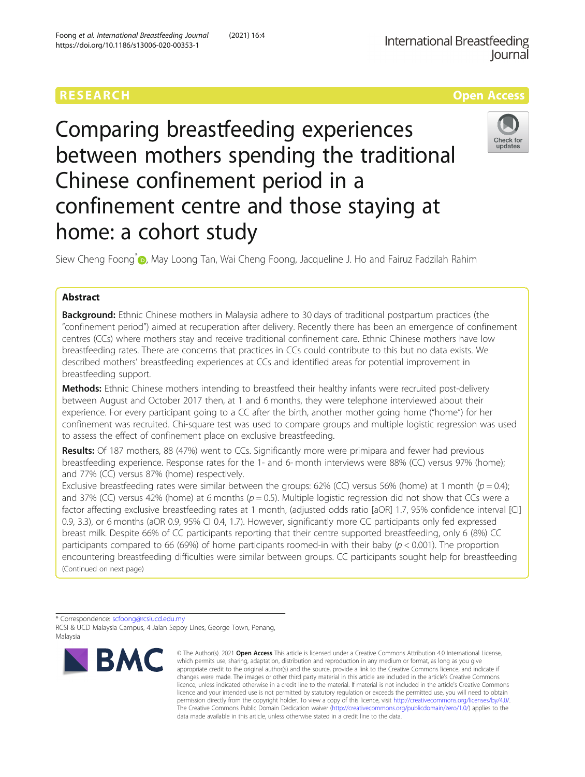Foong et al. International Breastfeeding Journal (2021) 16:4

https://doi.org/10.1186/s13006-020-00353-1



# Comparing breastfeeding experiences between mothers spending the traditional Chinese confinement period in a confinement centre and those staying at home: a cohort study

Siew Cheng Foong<sup>[\\*](http://orcid.org/0000-0001-8036-6165)</sup> (**p**, May Loong Tan, Wai Cheng Foong, Jacqueline J. Ho and Fairuz Fadzilah Rahim

# Abstract

Background: Ethnic Chinese mothers in Malaysia adhere to 30 days of traditional postpartum practices (the "confinement period") aimed at recuperation after delivery. Recently there has been an emergence of confinement centres (CCs) where mothers stay and receive traditional confinement care. Ethnic Chinese mothers have low breastfeeding rates. There are concerns that practices in CCs could contribute to this but no data exists. We described mothers' breastfeeding experiences at CCs and identified areas for potential improvement in breastfeeding support.

Methods: Ethnic Chinese mothers intending to breastfeed their healthy infants were recruited post-delivery between August and October 2017 then, at 1 and 6 months, they were telephone interviewed about their experience. For every participant going to a CC after the birth, another mother going home ("home") for her confinement was recruited. Chi-square test was used to compare groups and multiple logistic regression was used to assess the effect of confinement place on exclusive breastfeeding.

Results: Of 187 mothers, 88 (47%) went to CCs. Significantly more were primipara and fewer had previous breastfeeding experience. Response rates for the 1- and 6- month interviews were 88% (CC) versus 97% (home); and 77% (CC) versus 87% (home) respectively.

Exclusive breastfeeding rates were similar between the groups: 62% (CC) versus 56% (home) at 1 month ( $p = 0.4$ ); and 37% (CC) versus 42% (home) at 6 months ( $p = 0.5$ ). Multiple logistic regression did not show that CCs were a factor affecting exclusive breastfeeding rates at 1 month, (adjusted odds ratio [aOR] 1.7, 95% confidence interval [CI] 0.9, 3.3), or 6 months (aOR 0.9, 95% CI 0.4, 1.7). However, significantly more CC participants only fed expressed breast milk. Despite 66% of CC participants reporting that their centre supported breastfeeding, only 6 (8%) CC participants compared to 66 (69%) of home participants roomed-in with their baby ( $p < 0.001$ ). The proportion encountering breastfeeding difficulties were similar between groups. CC participants sought help for breastfeeding (Continued on next page)

<sup>\*</sup> Correspondence: [scfoong@rcsiucd.edu.my](mailto:scfoong@rcsiucd.edu.my) RCSI & UCD Malaysia Campus, 4 Jalan Sepoy Lines, George Town, Penang, Malaysia



<sup>©</sup> The Author(s), 2021 **Open Access** This article is licensed under a Creative Commons Attribution 4.0 International License, which permits use, sharing, adaptation, distribution and reproduction in any medium or format, as long as you give appropriate credit to the original author(s) and the source, provide a link to the Creative Commons licence, and indicate if changes were made. The images or other third party material in this article are included in the article's Creative Commons licence, unless indicated otherwise in a credit line to the material. If material is not included in the article's Creative Commons licence and your intended use is not permitted by statutory regulation or exceeds the permitted use, you will need to obtain permission directly from the copyright holder. To view a copy of this licence, visit [http://creativecommons.org/licenses/by/4.0/.](http://creativecommons.org/licenses/by/4.0/) The Creative Commons Public Domain Dedication waiver [\(http://creativecommons.org/publicdomain/zero/1.0/](http://creativecommons.org/publicdomain/zero/1.0/)) applies to the data made available in this article, unless otherwise stated in a credit line to the data.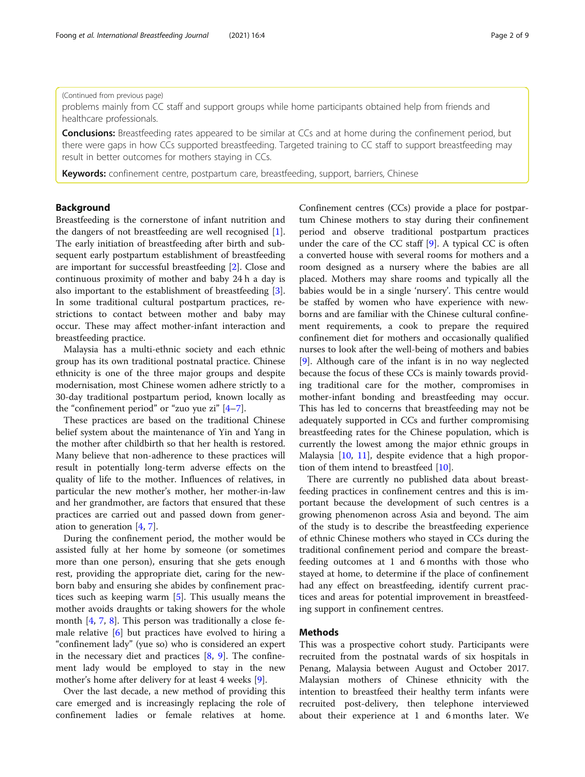# (Continued from previous page)

problems mainly from CC staff and support groups while home participants obtained help from friends and healthcare professionals.

**Conclusions:** Breastfeeding rates appeared to be similar at CCs and at home during the confinement period, but there were gaps in how CCs supported breastfeeding. Targeted training to CC staff to support breastfeeding may result in better outcomes for mothers staying in CCs.

Keywords: confinement centre, postpartum care, breastfeeding, support, barriers, Chinese

# Background

Breastfeeding is the cornerstone of infant nutrition and the dangers of not breastfeeding are well recognised [\[1](#page-7-0)]. The early initiation of breastfeeding after birth and subsequent early postpartum establishment of breastfeeding are important for successful breastfeeding [\[2](#page-7-0)]. Close and continuous proximity of mother and baby 24 h a day is also important to the establishment of breastfeeding [\[3](#page-7-0)]. In some traditional cultural postpartum practices, restrictions to contact between mother and baby may occur. These may affect mother-infant interaction and breastfeeding practice.

Malaysia has a multi-ethnic society and each ethnic group has its own traditional postnatal practice. Chinese ethnicity is one of the three major groups and despite modernisation, most Chinese women adhere strictly to a 30-day traditional postpartum period, known locally as the "confinement period" or "zuo yue zi"  $[4-7]$  $[4-7]$  $[4-7]$  $[4-7]$  $[4-7]$ .

These practices are based on the traditional Chinese belief system about the maintenance of Yin and Yang in the mother after childbirth so that her health is restored. Many believe that non-adherence to these practices will result in potentially long-term adverse effects on the quality of life to the mother. Influences of relatives, in particular the new mother's mother, her mother-in-law and her grandmother, are factors that ensured that these practices are carried out and passed down from generation to generation [[4,](#page-7-0) [7\]](#page-8-0).

During the confinement period, the mother would be assisted fully at her home by someone (or sometimes more than one person), ensuring that she gets enough rest, providing the appropriate diet, caring for the newborn baby and ensuring she abides by confinement practices such as keeping warm [\[5](#page-7-0)]. This usually means the mother avoids draughts or taking showers for the whole month [\[4](#page-7-0), [7,](#page-8-0) [8](#page-8-0)]. This person was traditionally a close female relative [\[6](#page-7-0)] but practices have evolved to hiring a "confinement lady" (yue so) who is considered an expert in the necessary diet and practices [[8,](#page-8-0) [9\]](#page-8-0). The confinement lady would be employed to stay in the new mother's home after delivery for at least 4 weeks [[9\]](#page-8-0).

Over the last decade, a new method of providing this care emerged and is increasingly replacing the role of confinement ladies or female relatives at home.

Confinement centres (CCs) provide a place for postpartum Chinese mothers to stay during their confinement period and observe traditional postpartum practices under the care of the CC staff  $[9]$  $[9]$ . A typical CC is often a converted house with several rooms for mothers and a room designed as a nursery where the babies are all placed. Mothers may share rooms and typically all the babies would be in a single 'nursery'. This centre would be staffed by women who have experience with newborns and are familiar with the Chinese cultural confinement requirements, a cook to prepare the required confinement diet for mothers and occasionally qualified nurses to look after the well-being of mothers and babies [[9\]](#page-8-0). Although care of the infant is in no way neglected because the focus of these CCs is mainly towards providing traditional care for the mother, compromises in mother-infant bonding and breastfeeding may occur. This has led to concerns that breastfeeding may not be adequately supported in CCs and further compromising breastfeeding rates for the Chinese population, which is currently the lowest among the major ethnic groups in Malaysia [[10,](#page-8-0) [11\]](#page-8-0), despite evidence that a high proportion of them intend to breastfeed [[10\]](#page-8-0).

There are currently no published data about breastfeeding practices in confinement centres and this is important because the development of such centres is a growing phenomenon across Asia and beyond. The aim of the study is to describe the breastfeeding experience of ethnic Chinese mothers who stayed in CCs during the traditional confinement period and compare the breastfeeding outcomes at 1 and 6 months with those who stayed at home, to determine if the place of confinement had any effect on breastfeeding, identify current practices and areas for potential improvement in breastfeeding support in confinement centres.

# Methods

This was a prospective cohort study. Participants were recruited from the postnatal wards of six hospitals in Penang, Malaysia between August and October 2017. Malaysian mothers of Chinese ethnicity with the intention to breastfeed their healthy term infants were recruited post-delivery, then telephone interviewed about their experience at 1 and 6 months later. We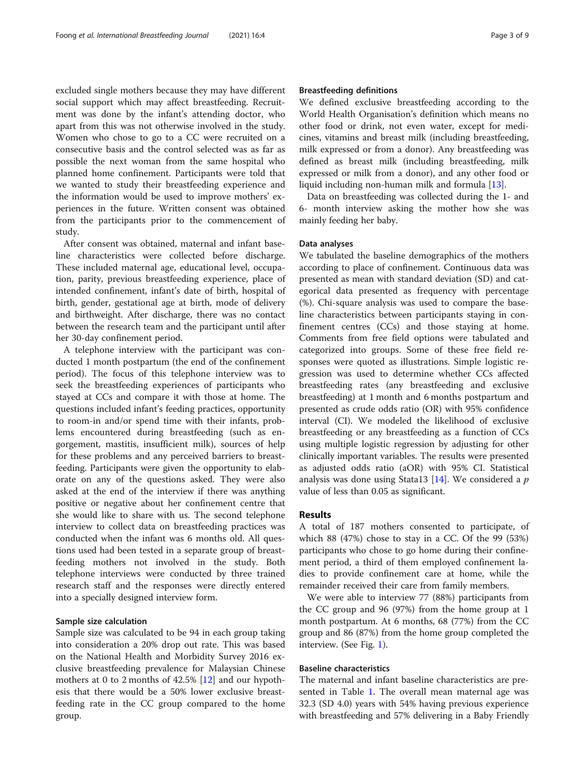excluded single mothers because they may have different social support which may affect breastfeeding. Recruitment was done by the infant's attending doctor, who apart from this was not otherwise involved in the study. Women who chose to go to a CC were recruited on a consecutive basis and the control selected was as far as possible the next woman from the same hospital who planned home confinement. Participants were told that we wanted to study their breastfeeding experience and the information would be used to improve mothers' experiences in the future. Written consent was obtained from the participants prior to the commencement of study.

After consent was obtained, maternal and infant baseline characteristics were collected before discharge. These included maternal age, educational level, occupation, parity, previous breastfeeding experience, place of intended confinement, infant's date of birth, hospital of birth, gender, gestational age at birth, mode of delivery and birthweight. After discharge, there was no contact between the research team and the participant until after her 30-day confinement period.

A telephone interview with the participant was conducted 1 month postpartum (the end of the confinement period). The focus of this telephone interview was to seek the breastfeeding experiences of participants who stayed at CCs and compare it with those at home. The questions included infant's feeding practices, opportunity to room-in and/or spend time with their infants, problems encountered during breastfeeding (such as engorgement, mastitis, insufficient milk), sources of help for these problems and any perceived barriers to breastfeeding. Participants were given the opportunity to elaborate on any of the questions asked. They were also asked at the end of the interview if there was anything positive or negative about her confinement centre that she would like to share with us. The second telephone interview to collect data on breastfeeding practices was conducted when the infant was 6 months old. All questions used had been tested in a separate group of breastfeeding mothers not involved in the study. Both telephone interviews were conducted by three trained research staff and the responses were directly entered into a specially designed interview form.

#### Sample size calculation

Sample size was calculated to be 94 in each group taking into consideration a 20% drop out rate. This was based on the National Health and Morbidity Survey 2016 exclusive breastfeeding prevalence for Malaysian Chinese mothers at 0 to 2 months of 42.5% [[12](#page-8-0)] and our hypothesis that there would be a 50% lower exclusive breastfeeding rate in the CC group compared to the home group.

# Breastfeeding definitions

We defined exclusive breastfeeding according to the World Health Organisation's definition which means no other food or drink, not even water, except for medicines, vitamins and breast milk (including breastfeeding, milk expressed or from a donor). Any breastfeeding was defined as breast milk (including breastfeeding, milk expressed or milk from a donor), and any other food or liquid including non-human milk and formula [[13](#page-8-0)].

Data on breastfeeding was collected during the 1- and 6- month interview asking the mother how she was mainly feeding her baby.

# Data analyses

We tabulated the baseline demographics of the mothers according to place of confinement. Continuous data was presented as mean with standard deviation (SD) and categorical data presented as frequency with percentage (%). Chi-square analysis was used to compare the baseline characteristics between participants staying in confinement centres (CCs) and those staying at home. Comments from free field options were tabulated and categorized into groups. Some of these free field responses were quoted as illustrations. Simple logistic regression was used to determine whether CCs affected breastfeeding rates (any breastfeeding and exclusive breastfeeding) at 1 month and 6 months postpartum and presented as crude odds ratio (OR) with 95% confidence interval (CI). We modeled the likelihood of exclusive breastfeeding or any breastfeeding as a function of CCs using multiple logistic regression by adjusting for other clinically important variables. The results were presented as adjusted odds ratio (aOR) with 95% CI. Statistical analysis was done using Stata13  $[14]$  $[14]$ . We considered a p value of less than 0.05 as significant.

## Results

A total of 187 mothers consented to participate, of which 88 (47%) chose to stay in a CC. Of the 99 (53%) participants who chose to go home during their confinement period, a third of them employed confinement ladies to provide confinement care at home, while the remainder received their care from family members.

We were able to interview 77 (88%) participants from the CC group and 96 (97%) from the home group at 1 month postpartum. At 6 months, 68 (77%) from the CC group and 86 (87%) from the home group completed the interview. (See Fig. [1\)](#page-3-0).

# Baseline characteristics

The maternal and infant baseline characteristics are presented in Table [1.](#page-3-0) The overall mean maternal age was 32.3 (SD 4.0) years with 54% having previous experience with breastfeeding and 57% delivering in a Baby Friendly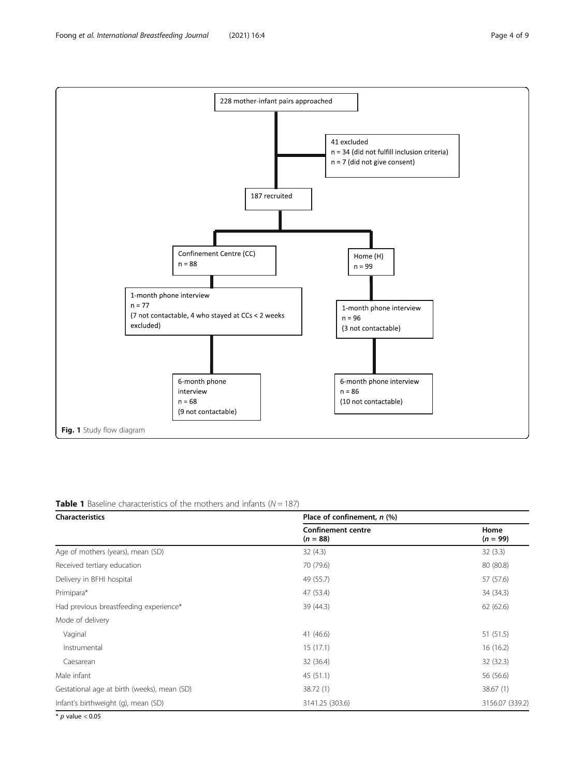<span id="page-3-0"></span>

**Table 1** Baseline characteristics of the mothers and infants ( $N = 187$ )

| <b>Characteristics</b>                      | Place of confinement, n (%)             |                    |  |
|---------------------------------------------|-----------------------------------------|--------------------|--|
|                                             | <b>Confinement centre</b><br>$(n = 88)$ | Home<br>$(n = 99)$ |  |
| Age of mothers (years), mean (SD)           | 32(4.3)                                 | 32(3.3)            |  |
| Received tertiary education                 | 70 (79.6)                               | 80 (80.8)          |  |
| Delivery in BFHI hospital                   | 49 (55.7)                               | 57 (57.6)          |  |
| Primipara*                                  | 47 (53.4)                               | 34 (34.3)          |  |
| Had previous breastfeeding experience*      | 39 (44.3)                               | 62 (62.6)          |  |
| Mode of delivery                            |                                         |                    |  |
| Vaginal                                     | 41 (46.6)                               | 51 (51.5)          |  |
| Instrumental                                | 15(17.1)                                | 16(16.2)           |  |
| Caesarean                                   | 32 (36.4)                               | 32 (32.3)          |  |
| Male infant                                 | 45(51.1)                                | 56 (56.6)          |  |
| Gestational age at birth (weeks), mean (SD) | 38.72 (1)                               | 38.67(1)           |  |
| Infant's birthweight (g), mean (SD)         | 3141.25 (303.6)                         | 3156.07 (339.2)    |  |

 $*$  p value  $< 0.05$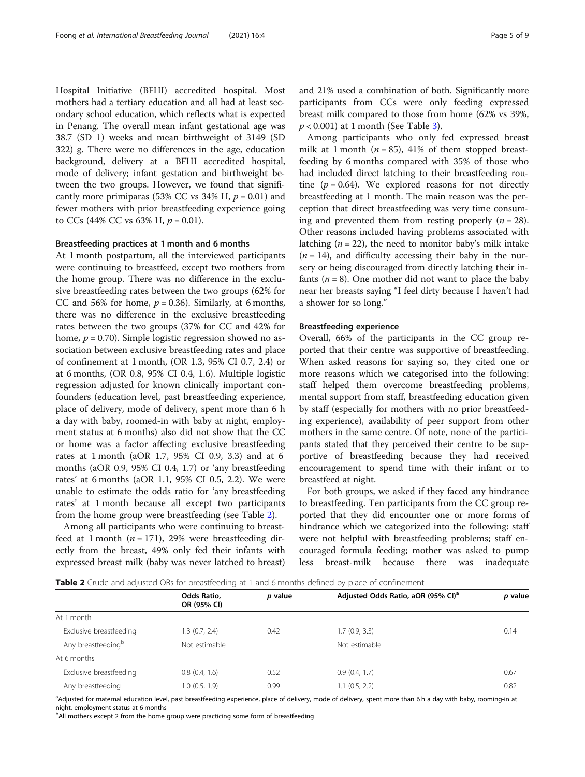Hospital Initiative (BFHI) accredited hospital. Most mothers had a tertiary education and all had at least secondary school education, which reflects what is expected in Penang. The overall mean infant gestational age was 38.7 (SD 1) weeks and mean birthweight of 3149 (SD 322) g. There were no differences in the age, education background, delivery at a BFHI accredited hospital, mode of delivery; infant gestation and birthweight between the two groups. However, we found that significantly more primiparas (53% CC vs 34% H,  $p = 0.01$ ) and fewer mothers with prior breastfeeding experience going to CCs (44% CC vs 63% H,  $p = 0.01$ ).

# Breastfeeding practices at 1 month and 6 months

At 1 month postpartum, all the interviewed participants were continuing to breastfeed, except two mothers from the home group. There was no difference in the exclusive breastfeeding rates between the two groups (62% for CC and 56% for home,  $p = 0.36$ ). Similarly, at 6 months, there was no difference in the exclusive breastfeeding rates between the two groups (37% for CC and 42% for home,  $p = 0.70$ ). Simple logistic regression showed no association between exclusive breastfeeding rates and place of confinement at 1 month, (OR 1.3, 95% CI 0.7, 2.4) or at 6 months, (OR 0.8, 95% CI 0.4, 1.6). Multiple logistic regression adjusted for known clinically important confounders (education level, past breastfeeding experience, place of delivery, mode of delivery, spent more than 6 h a day with baby, roomed-in with baby at night, employment status at 6 months) also did not show that the CC or home was a factor affecting exclusive breastfeeding rates at 1 month (aOR 1.7, 95% CI 0.9, 3.3) and at 6 months (aOR 0.9, 95% CI 0.4, 1.7) or 'any breastfeeding rates' at 6 months (aOR 1.1, 95% CI 0.5, 2.2). We were unable to estimate the odds ratio for 'any breastfeeding rates' at 1 month because all except two participants from the home group were breastfeeding (see Table 2).

Among all participants who were continuing to breastfeed at 1 month ( $n = 171$ ), 29% were breastfeeding directly from the breast, 49% only fed their infants with expressed breast milk (baby was never latched to breast) and 21% used a combination of both. Significantly more participants from CCs were only feeding expressed breast milk compared to those from home (62% vs 39%,  $p < 0.001$ ) at 1 month (See Table [3](#page-5-0)).

Among participants who only fed expressed breast milk at 1 month ( $n = 85$ ), 41% of them stopped breastfeeding by 6 months compared with 35% of those who had included direct latching to their breastfeeding routine  $(p = 0.64)$ . We explored reasons for not directly breastfeeding at 1 month. The main reason was the perception that direct breastfeeding was very time consuming and prevented them from resting properly  $(n = 28)$ . Other reasons included having problems associated with latching ( $n = 22$ ), the need to monitor baby's milk intake  $(n = 14)$ , and difficulty accessing their baby in the nursery or being discouraged from directly latching their infants ( $n = 8$ ). One mother did not want to place the baby near her breasts saying "I feel dirty because I haven't had a shower for so long."

### Breastfeeding experience

Overall, 66% of the participants in the CC group reported that their centre was supportive of breastfeeding. When asked reasons for saying so, they cited one or more reasons which we categorised into the following: staff helped them overcome breastfeeding problems, mental support from staff, breastfeeding education given by staff (especially for mothers with no prior breastfeeding experience), availability of peer support from other mothers in the same centre. Of note, none of the participants stated that they perceived their centre to be supportive of breastfeeding because they had received encouragement to spend time with their infant or to breastfeed at night.

For both groups, we asked if they faced any hindrance to breastfeeding. Ten participants from the CC group reported that they did encounter one or more forms of hindrance which we categorized into the following: staff were not helpful with breastfeeding problems; staff encouraged formula feeding; mother was asked to pump less breast-milk because there was inadequate

**Table 2** Crude and adjusted ORs for breastfeeding at 1 and 6 months defined by place of confinement

|                                | Odds Ratio,<br>OR (95% CI) | p value | Adjusted Odds Ratio, aOR (95% CI) <sup>a</sup> | p value |
|--------------------------------|----------------------------|---------|------------------------------------------------|---------|
| At 1 month                     |                            |         |                                                |         |
| Exclusive breastfeeding        | 1.3(0.7, 2.4)              | 0.42    | 1.7(0.9, 3.3)                                  | 0.14    |
| Any breastfeeding <sup>b</sup> | Not estimable              |         | Not estimable                                  |         |
| At 6 months                    |                            |         |                                                |         |
| Exclusive breastfeeding        | 0.8(0.4, 1.6)              | 0.52    | 0.9(0.4, 1.7)                                  | 0.67    |
| Any breastfeeding              | 1.0(0.5, 1.9)              | 0.99    | 1.1(0.5, 2.2)                                  | 0.82    |

a<br>Adjusted for maternal education level, past breastfeeding experience, place of delivery, mode of delivery, spent more than 6 h a day with baby, rooming-in at night, employment status at 6 months

<sup>b</sup>All mothers except 2 from the home group were practicing some form of breastfeeding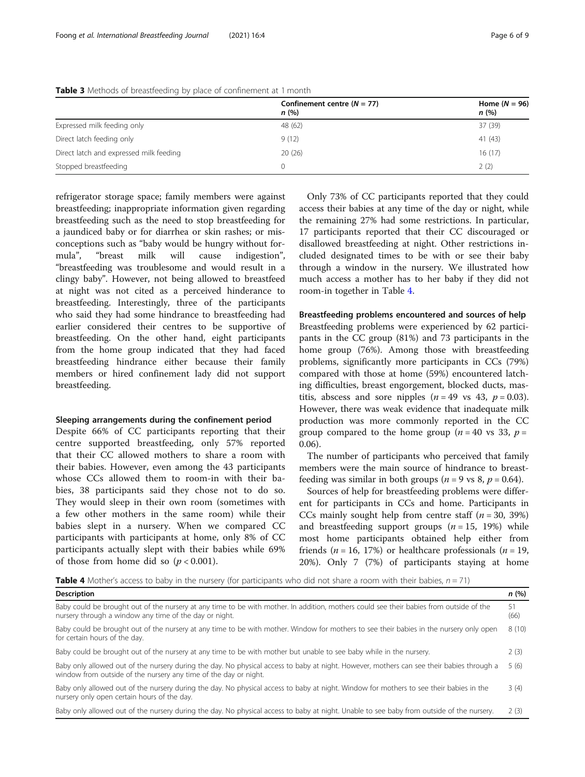|                                         | Confinement centre $(N = 77)$<br>n(%) | Home $(N = 96)$<br>n(%) |
|-----------------------------------------|---------------------------------------|-------------------------|
| Expressed milk feeding only             | 48 (62)                               | 37 (39)                 |
| Direct latch feeding only               | 9(12)                                 | 41(43)                  |
| Direct latch and expressed milk feeding | 20(26)                                | 16(17)                  |
| Stopped breastfeeding                   | 0                                     | 2(2)                    |

<span id="page-5-0"></span>Table 3 Methods of breastfeeding by place of confinement at 1 month

refrigerator storage space; family members were against breastfeeding; inappropriate information given regarding breastfeeding such as the need to stop breastfeeding for a jaundiced baby or for diarrhea or skin rashes; or misconceptions such as "baby would be hungry without formula", "breast milk will cause indigestion", "breastfeeding was troublesome and would result in a clingy baby". However, not being allowed to breastfeed at night was not cited as a perceived hinderance to breastfeeding. Interestingly, three of the participants who said they had some hindrance to breastfeeding had earlier considered their centres to be supportive of breastfeeding. On the other hand, eight participants from the home group indicated that they had faced breastfeeding hindrance either because their family members or hired confinement lady did not support breastfeeding.

### Sleeping arrangements during the confinement period

Despite 66% of CC participants reporting that their centre supported breastfeeding, only 57% reported that their CC allowed mothers to share a room with their babies. However, even among the 43 participants whose CCs allowed them to room-in with their babies, 38 participants said they chose not to do so. They would sleep in their own room (sometimes with a few other mothers in the same room) while their babies slept in a nursery. When we compared CC participants with participants at home, only 8% of CC participants actually slept with their babies while 69% of those from home did so  $(p < 0.001)$ .

Only 73% of CC participants reported that they could access their babies at any time of the day or night, while the remaining 27% had some restrictions. In particular, 17 participants reported that their CC discouraged or disallowed breastfeeding at night. Other restrictions included designated times to be with or see their baby through a window in the nursery. We illustrated how much access a mother has to her baby if they did not room-in together in Table 4.

Breastfeeding problems encountered and sources of help Breastfeeding problems were experienced by 62 participants in the CC group (81%) and 73 participants in the home group (76%). Among those with breastfeeding problems, significantly more participants in CCs (79%) compared with those at home (59%) encountered latching difficulties, breast engorgement, blocked ducts, mastitis, abscess and sore nipples ( $n = 49$  vs 43,  $p = 0.03$ ). However, there was weak evidence that inadequate milk production was more commonly reported in the CC group compared to the home group ( $n = 40$  vs 33,  $p =$ 0.06).

The number of participants who perceived that family members were the main source of hindrance to breastfeeding was similar in both groups ( $n = 9$  vs 8,  $p = 0.64$ ).

Sources of help for breastfeeding problems were different for participants in CCs and home. Participants in CCs mainly sought help from centre staff  $(n = 30, 39%)$ and breastfeeding support groups  $(n = 15, 19%)$  while most home participants obtained help either from friends ( $n = 16$ , 17%) or healthcare professionals ( $n = 19$ , 20%). Only 7 (7%) of participants staying at home

**Table 4** Mother's access to baby in the nursery (for participants who did not share a room with their babies,  $n = 71$ )

| Description                                                                                                                                                                                                   | n(%)  |
|---------------------------------------------------------------------------------------------------------------------------------------------------------------------------------------------------------------|-------|
| Baby could be brought out of the nursery at any time to be with mother. In addition, mothers could see their babies from outside of the<br>nursery through a window any time of the day or night.             |       |
| Baby could be brought out of the nursery at any time to be with mother. Window for mothers to see their babies in the nursery only open<br>for certain hours of the day.                                      | 8(10) |
| Baby could be brought out of the nursery at any time to be with mother but unable to see baby while in the nursery.                                                                                           | 2(3)  |
| Baby only allowed out of the nursery during the day. No physical access to baby at night. However, mothers can see their babies through a<br>window from outside of the nursery any time of the day or night. |       |
| Baby only allowed out of the nursery during the day. No physical access to baby at night. Window for mothers to see their babies in the<br>nursery only open certain hours of the day.                        | 3(4)  |
| Baby only allowed out of the nursery during the day. No physical access to baby at night. Unable to see baby from outside of the nursery.                                                                     | 2(3)  |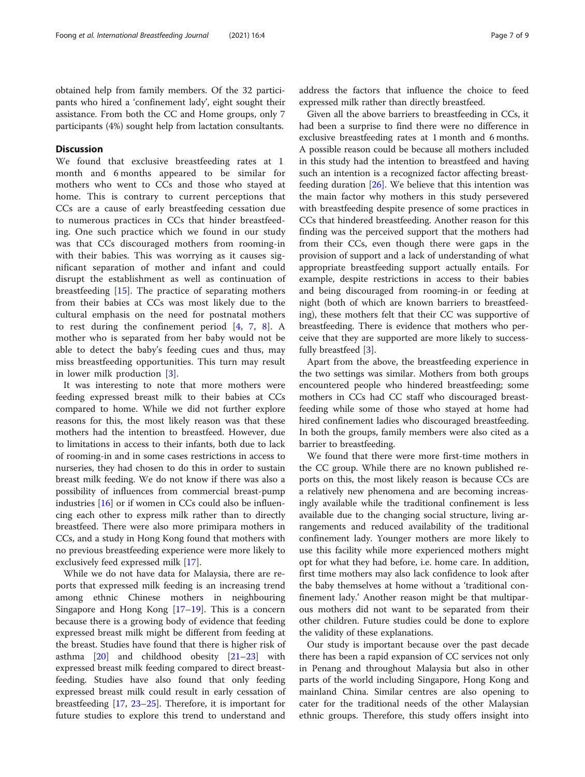# **Discussion**

We found that exclusive breastfeeding rates at 1 month and 6 months appeared to be similar for mothers who went to CCs and those who stayed at home. This is contrary to current perceptions that CCs are a cause of early breastfeeding cessation due to numerous practices in CCs that hinder breastfeeding. One such practice which we found in our study was that CCs discouraged mothers from rooming-in with their babies. This was worrying as it causes significant separation of mother and infant and could disrupt the establishment as well as continuation of breastfeeding [\[15](#page-8-0)]. The practice of separating mothers from their babies at CCs was most likely due to the cultural emphasis on the need for postnatal mothers to rest during the confinement period [\[4](#page-7-0), [7,](#page-8-0) [8\]](#page-8-0). A mother who is separated from her baby would not be able to detect the baby's feeding cues and thus, may miss breastfeeding opportunities. This turn may result in lower milk production [\[3](#page-7-0)].

It was interesting to note that more mothers were feeding expressed breast milk to their babies at CCs compared to home. While we did not further explore reasons for this, the most likely reason was that these mothers had the intention to breastfeed. However, due to limitations in access to their infants, both due to lack of rooming-in and in some cases restrictions in access to nurseries, they had chosen to do this in order to sustain breast milk feeding. We do not know if there was also a possibility of influences from commercial breast-pump industries [[16](#page-8-0)] or if women in CCs could also be influencing each other to express milk rather than to directly breastfeed. There were also more primipara mothers in CCs, and a study in Hong Kong found that mothers with no previous breastfeeding experience were more likely to exclusively feed expressed milk [\[17\]](#page-8-0).

While we do not have data for Malaysia, there are reports that expressed milk feeding is an increasing trend among ethnic Chinese mothers in neighbouring Singapore and Hong Kong [[17](#page-8-0)–[19](#page-8-0)]. This is a concern because there is a growing body of evidence that feeding expressed breast milk might be different from feeding at the breast. Studies have found that there is higher risk of asthma [\[20\]](#page-8-0) and childhood obesity [[21](#page-8-0)–[23](#page-8-0)] with expressed breast milk feeding compared to direct breastfeeding. Studies have also found that only feeding expressed breast milk could result in early cessation of breastfeeding [[17,](#page-8-0) [23](#page-8-0)–[25](#page-8-0)]. Therefore, it is important for future studies to explore this trend to understand and address the factors that influence the choice to feed expressed milk rather than directly breastfeed.

Given all the above barriers to breastfeeding in CCs, it had been a surprise to find there were no difference in exclusive breastfeeding rates at 1 month and 6 months. A possible reason could be because all mothers included in this study had the intention to breastfeed and having such an intention is a recognized factor affecting breastfeeding duration  $[26]$  $[26]$ . We believe that this intention was the main factor why mothers in this study persevered with breastfeeding despite presence of some practices in CCs that hindered breastfeeding. Another reason for this finding was the perceived support that the mothers had from their CCs, even though there were gaps in the provision of support and a lack of understanding of what appropriate breastfeeding support actually entails. For example, despite restrictions in access to their babies and being discouraged from rooming-in or feeding at night (both of which are known barriers to breastfeeding), these mothers felt that their CC was supportive of breastfeeding. There is evidence that mothers who perceive that they are supported are more likely to successfully breastfeed [[3\]](#page-7-0).

Apart from the above, the breastfeeding experience in the two settings was similar. Mothers from both groups encountered people who hindered breastfeeding; some mothers in CCs had CC staff who discouraged breastfeeding while some of those who stayed at home had hired confinement ladies who discouraged breastfeeding. In both the groups, family members were also cited as a barrier to breastfeeding.

We found that there were more first-time mothers in the CC group. While there are no known published reports on this, the most likely reason is because CCs are a relatively new phenomena and are becoming increasingly available while the traditional confinement is less available due to the changing social structure, living arrangements and reduced availability of the traditional confinement lady. Younger mothers are more likely to use this facility while more experienced mothers might opt for what they had before, i.e. home care. In addition, first time mothers may also lack confidence to look after the baby themselves at home without a 'traditional confinement lady.' Another reason might be that multiparous mothers did not want to be separated from their other children. Future studies could be done to explore the validity of these explanations.

Our study is important because over the past decade there has been a rapid expansion of CC services not only in Penang and throughout Malaysia but also in other parts of the world including Singapore, Hong Kong and mainland China. Similar centres are also opening to cater for the traditional needs of the other Malaysian ethnic groups. Therefore, this study offers insight into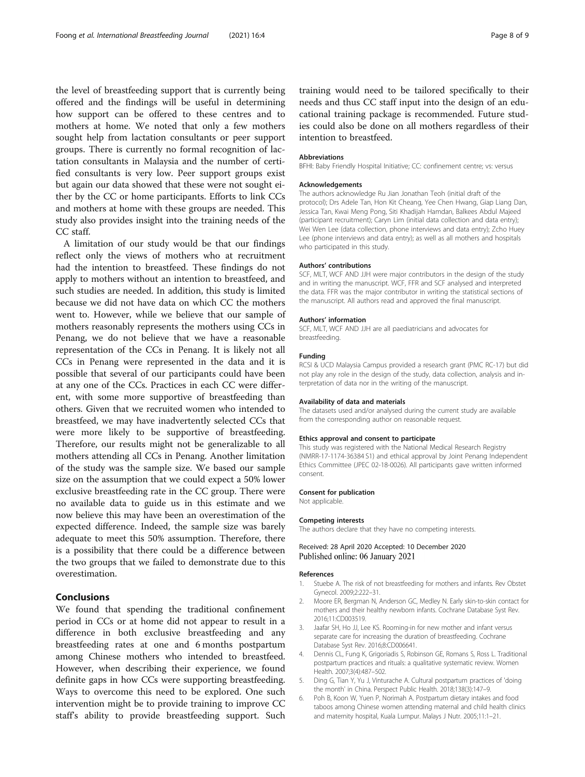<span id="page-7-0"></span>the level of breastfeeding support that is currently being offered and the findings will be useful in determining how support can be offered to these centres and to mothers at home. We noted that only a few mothers sought help from lactation consultants or peer support groups. There is currently no formal recognition of lactation consultants in Malaysia and the number of certified consultants is very low. Peer support groups exist but again our data showed that these were not sought either by the CC or home participants. Efforts to link CCs and mothers at home with these groups are needed. This study also provides insight into the training needs of the CC staff.

A limitation of our study would be that our findings reflect only the views of mothers who at recruitment had the intention to breastfeed. These findings do not apply to mothers without an intention to breastfeed, and such studies are needed. In addition, this study is limited because we did not have data on which CC the mothers went to. However, while we believe that our sample of mothers reasonably represents the mothers using CCs in Penang, we do not believe that we have a reasonable representation of the CCs in Penang. It is likely not all CCs in Penang were represented in the data and it is possible that several of our participants could have been at any one of the CCs. Practices in each CC were different, with some more supportive of breastfeeding than others. Given that we recruited women who intended to breastfeed, we may have inadvertently selected CCs that were more likely to be supportive of breastfeeding. Therefore, our results might not be generalizable to all mothers attending all CCs in Penang. Another limitation of the study was the sample size. We based our sample size on the assumption that we could expect a 50% lower exclusive breastfeeding rate in the CC group. There were no available data to guide us in this estimate and we now believe this may have been an overestimation of the expected difference. Indeed, the sample size was barely adequate to meet this 50% assumption. Therefore, there is a possibility that there could be a difference between the two groups that we failed to demonstrate due to this overestimation.

# Conclusions

We found that spending the traditional confinement period in CCs or at home did not appear to result in a difference in both exclusive breastfeeding and any breastfeeding rates at one and 6 months postpartum among Chinese mothers who intended to breastfeed. However, when describing their experience, we found definite gaps in how CCs were supporting breastfeeding. Ways to overcome this need to be explored. One such intervention might be to provide training to improve CC staff's ability to provide breastfeeding support. Such training would need to be tailored specifically to their needs and thus CC staff input into the design of an educational training package is recommended. Future studies could also be done on all mothers regardless of their intention to breastfeed.

#### Abbreviations

BFHI: Baby Friendly Hospital Initiative; CC: confinement centre; vs: versus

#### Acknowledgements

The authors acknowledge Ru Jian Jonathan Teoh (initial draft of the protocol); Drs Adele Tan, Hon Kit Cheang, Yee Chen Hwang, Giap Liang Dan, Jessica Tan, Kwai Meng Pong, Siti Khadijah Hamdan, Balkees Abdul Majeed (participant recruitment); Caryn Lim (initial data collection and data entry); Wei Wen Lee (data collection, phone interviews and data entry); Zcho Huey Lee (phone interviews and data entry); as well as all mothers and hospitals who participated in this study.

#### Authors' contributions

SCF, MLT, WCF AND JJH were major contributors in the design of the study and in writing the manuscript. WCF, FFR and SCF analysed and interpreted the data. FFR was the major contributor in writing the statistical sections of the manuscript. All authors read and approved the final manuscript.

#### Authors' information

SCF, MLT, WCF AND JJH are all paediatricians and advocates for breastfeeding.

#### Funding

RCSI & UCD Malaysia Campus provided a research grant (PMC RC-17) but did not play any role in the design of the study, data collection, analysis and interpretation of data nor in the writing of the manuscript.

#### Availability of data and materials

The datasets used and/or analysed during the current study are available from the corresponding author on reasonable request.

# Ethics approval and consent to participate

This study was registered with the National Medical Research Registry (NMRR-17-1174-36384 S1) and ethical approval by Joint Penang Independent Ethics Committee (JPEC 02-18-0026). All participants gave written informed consent.

#### Consent for publication

Not applicable.

#### Competing interests

The authors declare that they have no competing interests.

# Received: 28 April 2020 Accepted: 10 December 2020 Published online: 06 January 2021

#### References

- 1. Stuebe A. The risk of not breastfeeding for mothers and infants. Rev Obstet Gynecol. 2009;2:222–31.
- 2. Moore ER, Bergman N, Anderson GC, Medley N. Early skin-to-skin contact for mothers and their healthy newborn infants. Cochrane Database Syst Rev. 2016;11:CD003519.
- 3. Jaafar SH, Ho JJ, Lee KS. Rooming-in for new mother and infant versus separate care for increasing the duration of breastfeeding. Cochrane Database Syst Rev. 2016;8:CD006641.
- 4. Dennis CL, Fung K, Grigoriadis S, Robinson GE, Romans S, Ross L. Traditional postpartum practices and rituals: a qualitative systematic review. Women Health. 2007;3(4):487–502.
- 5. Ding G, Tian Y, Yu J, Vinturache A. Cultural postpartum practices of 'doing the month' in China. Perspect Public Health. 2018;138(3):147–9.
- 6. Poh B, Koon W, Yuen P, Norimah A. Postpartum dietary intakes and food taboos among Chinese women attending maternal and child health clinics and maternity hospital, Kuala Lumpur. Malays J Nutr. 2005;11:1–21.